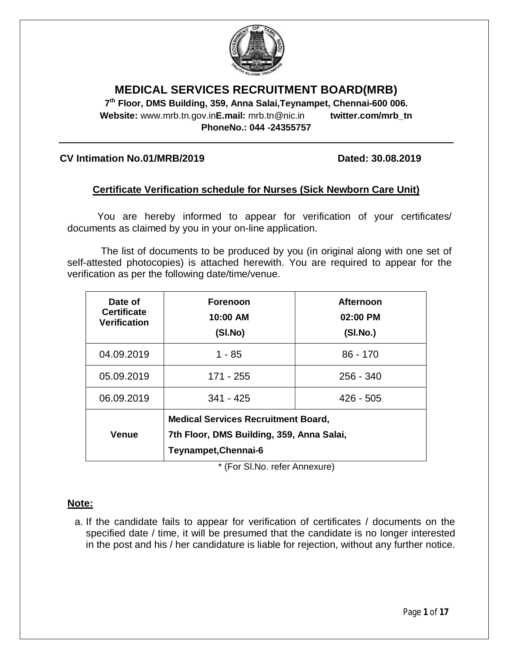

## **MEDICAL SERVICES RECRUITMENT BOARD(MRB)**

**7 th Floor, DMS Building, 359, Anna Salai,Teynampet, Chennai-600 006. Website:** www.mrb.tn.gov.in**E.mail:** mrb.tn@nic.in **twitter.com/mrb\_tn PhoneNo.: 044 -24355757**

#### **CV Intimation No.01/MRB/2019 Dated: 30.08.2019**

## **Certificate Verification schedule for Nurses (Sick Newborn Care Unit)**

You are hereby informed to appear for verification of your certificates/ documents as claimed by you in your on-line application.

The list of documents to be produced by you (in original along with one set of self-attested photocopies) is attached herewith. You are required to appear for the verification as per the following date/time/venue.

| Date of<br><b>Certificate</b><br><b>Verification</b> | <b>Forenoon</b><br>10:00 AM<br>(SI.No)                                                                          | <b>Afternoon</b><br>02:00 PM<br>(SI.No.) |  |  |  |
|------------------------------------------------------|-----------------------------------------------------------------------------------------------------------------|------------------------------------------|--|--|--|
| 04.09.2019                                           | 1 - 85                                                                                                          | $86 - 170$                               |  |  |  |
| 05.09.2019                                           | 171 - 255                                                                                                       | $256 - 340$                              |  |  |  |
| 06.09.2019                                           | $341 - 425$                                                                                                     | $426 - 505$                              |  |  |  |
| <b>Venue</b>                                         | <b>Medical Services Recruitment Board,</b><br>7th Floor, DMS Building, 359, Anna Salai,<br>Teynampet, Chennai-6 |                                          |  |  |  |

\* (For Sl.No. refer Annexure)

#### **Note:**

a. If the candidate fails to appear for verification of certificates / documents on the specified date / time, it will be presumed that the candidate is no longer interested in the post and his / her candidature is liable for rejection, without any further notice.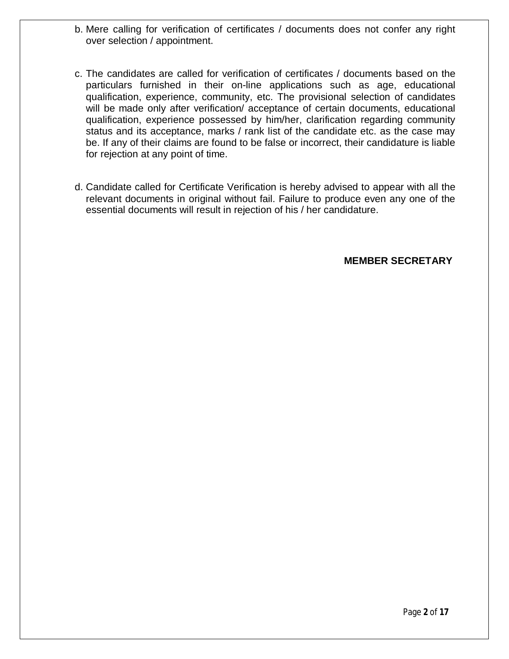- b. Mere calling for verification of certificates / documents does not confer any right over selection / appointment.
- c. The candidates are called for verification of certificates / documents based on the particulars furnished in their on-line applications such as age, educational qualification, experience, community, etc. The provisional selection of candidates will be made only after verification/ acceptance of certain documents, educational qualification, experience possessed by him/her, clarification regarding community status and its acceptance, marks / rank list of the candidate etc. as the case may be. If any of their claims are found to be false or incorrect, their candidature is liable for rejection at any point of time.
- d. Candidate called for Certificate Verification is hereby advised to appear with all the relevant documents in original without fail. Failure to produce even any one of the essential documents will result in rejection of his / her candidature.

**MEMBER SECRETARY**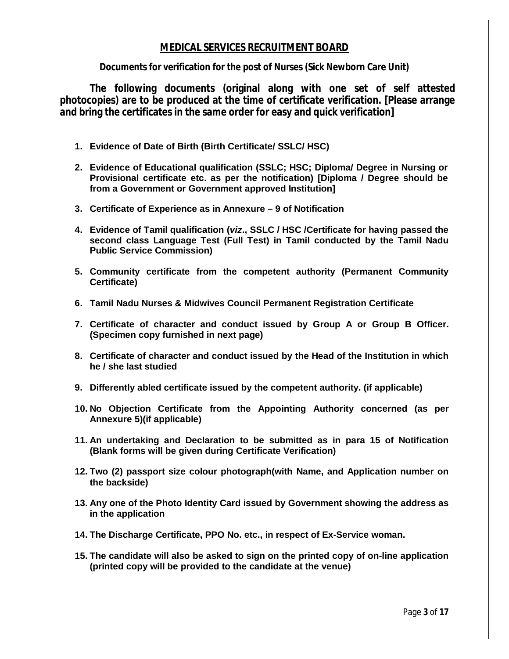## **MEDICAL SERVICES RECRUITMENT BOARD**

**Documents for verification for the post of Nurses (Sick Newborn Care Unit)**

**The following documents (original along with one set of self attested photocopies) are to be produced at the time of certificate verification. [Please arrange and bring the certificates in the same order for easy and quick verification]**

- **1. Evidence of Date of Birth (Birth Certificate/ SSLC/ HSC)**
- **2. Evidence of Educational qualification (SSLC; HSC; Diploma/ Degree in Nursing or Provisional certificate etc. as per the notification) [Diploma / Degree should be from a Government or Government approved Institution]**
- **3. Certificate of Experience as in Annexure – 9 of Notification**
- **4. Evidence of Tamil qualification (***viz***., SSLC / HSC /Certificate for having passed the second class Language Test (Full Test) in Tamil conducted by the Tamil Nadu Public Service Commission)**
- **5. Community certificate from the competent authority (Permanent Community Certificate)**
- **6. Tamil Nadu Nurses & Midwives Council Permanent Registration Certificate**
- **7. Certificate of character and conduct issued by Group A or Group B Officer. (Specimen copy furnished in next page)**
- **8. Certificate of character and conduct issued by the Head of the Institution in which he / she last studied**
- **9. Differently abled certificate issued by the competent authority. (if applicable)**
- **10. No Objection Certificate from the Appointing Authority concerned (as per Annexure 5)(if applicable)**
- **11. An undertaking and Declaration to be submitted as in para 15 of Notification (Blank forms will be given during Certificate Verification)**
- **12. Two (2) passport size colour photograph(with Name, and Application number on the backside)**
- **13. Any one of the Photo Identity Card issued by Government showing the address as in the application**
- **14. The Discharge Certificate, PPO No. etc., in respect of Ex-Service woman.**
- **15. The candidate will also be asked to sign on the printed copy of on-line application (printed copy will be provided to the candidate at the venue)**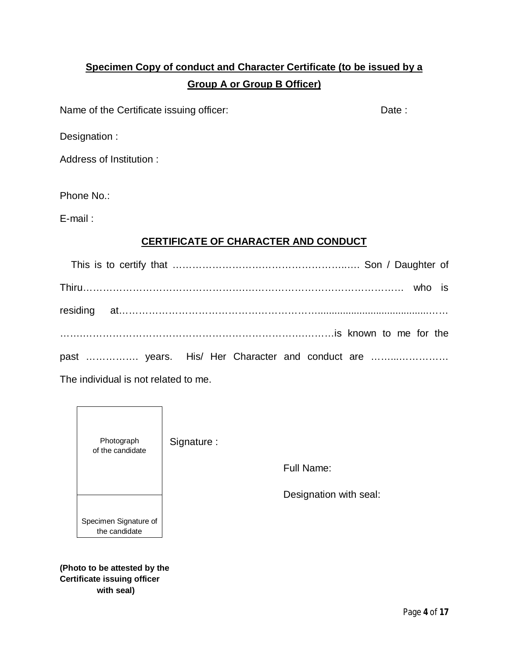# **Specimen Copy of conduct and Character Certificate (to be issued by a Group A or Group B Officer)**

Name of the Certificate issuing officer: Date: Date:

Designation :

Address of Institution :

Phone No.:

E-mail :

## **CERTIFICATE OF CHARACTER AND CONDUCT**

| past  years. His/ Her Character and conduct are         |  |  |
|---------------------------------------------------------|--|--|
| (大日本) きんこせいき オールオプション しゅうしょう こまん しゅんしゅう アール・アール アール・アール |  |  |

The individual is not related to me.



**(Photo to be attested by the Certificate issuing officer with seal)**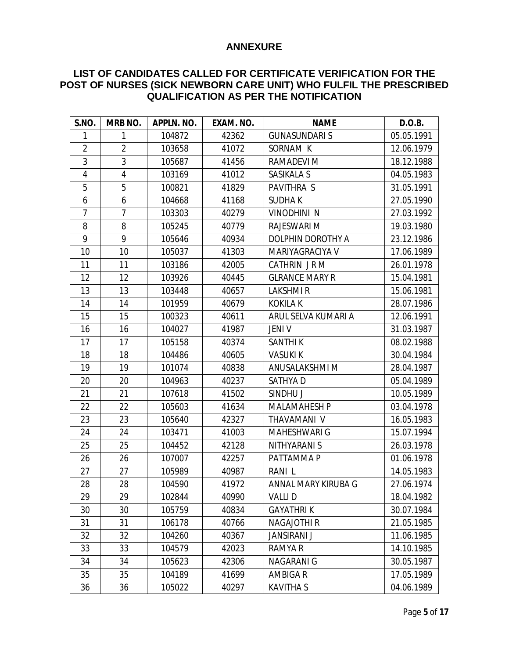#### **ANNEXURE**

## **LIST OF CANDIDATES CALLED FOR CERTIFICATE VERIFICATION FOR THE POST OF NURSES (SICK NEWBORN CARE UNIT) WHO FULFIL THE PRESCRIBED QUALIFICATION AS PER THE NOTIFICATION**

| <b>S.NO.</b>   | MRB NO.        | APPLN. NO. | EXAM. NO. | <b>NAME</b>           | D.O.B.     |
|----------------|----------------|------------|-----------|-----------------------|------------|
| 1              | 1              | 104872     | 42362     | <b>GUNASUNDARI S</b>  | 05.05.1991 |
| $\overline{2}$ | $\overline{2}$ | 103658     | 41072     | SORNAM K              | 12.06.1979 |
| 3              | 3              | 105687     | 41456     | RAMADEVI M            | 18.12.1988 |
| $\overline{4}$ | 4              | 103169     | 41012     | SASIKALA S            | 04.05.1983 |
| 5              | 5              | 100821     | 41829     | PAVITHRA S            | 31.05.1991 |
| 6              | 6              | 104668     | 41168     | <b>SUDHAK</b>         | 27.05.1990 |
| $\overline{7}$ | $\overline{7}$ | 103303     | 40279     | <b>VINODHINI N</b>    | 27.03.1992 |
| 8              | 8              | 105245     | 40779     | RAJESWARI M           | 19.03.1980 |
| 9              | 9              | 105646     | 40934     | DOLPHIN DOROTHY A     | 23.12.1986 |
| 10             | 10             | 105037     | 41303     | MARIYAGRACIYA V       | 17.06.1989 |
| 11             | 11             | 103186     | 42005     | CATHRIN JRM           | 26.01.1978 |
| 12             | 12             | 103926     | 40445     | <b>GLRANCE MARY R</b> | 15.04.1981 |
| 13             | 13             | 103448     | 40657     | LAKSHMI R             | 15.06.1981 |
| 14             | 14             | 101959     | 40679     | <b>KOKILA K</b>       | 28.07.1986 |
| 15             | 15             | 100323     | 40611     | ARUL SELVA KUMARI A   | 12.06.1991 |
| 16             | 16             | 104027     | 41987     | <b>JENI V</b>         | 31.03.1987 |
| 17             | 17             | 105158     | 40374     | <b>SANTHIK</b>        | 08.02.1988 |
| 18             | 18             | 104486     | 40605     | <b>VASUKI K</b>       | 30.04.1984 |
| 19             | 19             | 101074     | 40838     | ANUSALAKSHMI M        | 28.04.1987 |
| 20             | 20             | 104963     | 40237     | <b>SATHYAD</b>        | 05.04.1989 |
| 21             | 21             | 107618     | 41502     | SINDHU J              | 10.05.1989 |
| 22             | 22             | 105603     | 41634     | <b>MALAMAHESH P</b>   | 03.04.1978 |
| 23             | 23             | 105640     | 42327     | THAVAMANI V           | 16.05.1983 |
| 24             | 24             | 103471     | 41003     | MAHESHWARI G          | 15.07.1994 |
| 25             | 25             | 104452     | 42128     | NITHYARANI S          | 26.03.1978 |
| 26             | 26             | 107007     | 42257     | PATTAMMA P            | 01.06.1978 |
| 27             | 27             | 105989     | 40987     | RANI L                | 14.05.1983 |
| 28             | 28             | 104590     | 41972     | ANNAL MARY KIRUBA G   | 27.06.1974 |
| 29             | 29             | 102844     | 40990     | <b>VALLID</b>         | 18.04.1982 |
| 30             | 30             | 105759     | 40834     | <b>GAYATHRIK</b>      | 30.07.1984 |
| 31             | 31             | 106178     | 40766     | <b>NAGAJOTHI R</b>    | 21.05.1985 |
| 32             | 32             | 104260     | 40367     | <b>JANSIRANI J</b>    | 11.06.1985 |
| 33             | 33             | 104579     | 42023     | RAMYA R               | 14.10.1985 |
| 34             | 34             | 105623     | 42306     | <b>NAGARANI G</b>     | 30.05.1987 |
| 35             | 35             | 104189     | 41699     | <b>AMBIGAR</b>        | 17.05.1989 |
| 36             | 36             | 105022     | 40297     | <b>KAVITHA S</b>      | 04.06.1989 |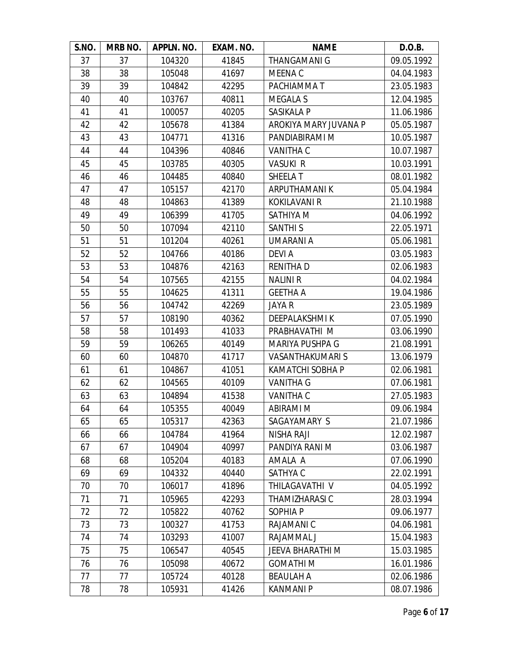| S.NO. | MRB NO. | APPLN. NO. | EXAM. NO. | <b>NAME</b>             | D.O.B.     |
|-------|---------|------------|-----------|-------------------------|------------|
| 37    | 37      | 104320     | 41845     | <b>THANGAMANI G</b>     | 09.05.1992 |
| 38    | 38      | 105048     | 41697     | MEENA C                 | 04.04.1983 |
| 39    | 39      | 104842     | 42295     | PACHIAMMA T             | 23.05.1983 |
| 40    | 40      | 103767     | 40811     | <b>MEGALA S</b>         | 12.04.1985 |
| 41    | 41      | 100057     | 40205     | SASIKALA P              | 11.06.1986 |
| 42    | 42      | 105678     | 41384     | AROKIYA MARY JUVANA P   | 05.05.1987 |
| 43    | 43      | 104771     | 41316     | PANDIABIRAMI M          | 10.05.1987 |
| 44    | 44      | 104396     | 40846     | VANITHA C               | 10.07.1987 |
| 45    | 45      | 103785     | 40305     | <b>VASUKI R</b>         | 10.03.1991 |
| 46    | 46      | 104485     | 40840     | SHEELA T                | 08.01.1982 |
| 47    | 47      | 105157     | 42170     | ARPUTHAMANI K           | 05.04.1984 |
| 48    | 48      | 104863     | 41389     | <b>KOKILAVANI R</b>     | 21.10.1988 |
| 49    | 49      | 106399     | 41705     | SATHIYA M               | 04.06.1992 |
| 50    | 50      | 107094     | 42110     | <b>SANTHI S</b>         | 22.05.1971 |
| 51    | 51      | 101204     | 40261     | <b>UMARANIA</b>         | 05.06.1981 |
| 52    | 52      | 104766     | 40186     | DEVI A                  | 03.05.1983 |
| 53    | 53      | 104876     | 42163     | <b>RENITHAD</b>         | 02.06.1983 |
| 54    | 54      | 107565     | 42155     | <b>NALINI R</b>         | 04.02.1984 |
| 55    | 55      | 104625     | 41311     | <b>GEETHA A</b>         | 19.04.1986 |
| 56    | 56      | 104742     | 42269     | JAYA R                  | 23.05.1989 |
| 57    | 57      | 108190     | 40362     | DEEPALAKSHMI K          | 07.05.1990 |
| 58    | 58      | 101493     | 41033     | PRABHAVATHI M           | 03.06.1990 |
| 59    | 59      | 106265     | 40149     | MARIYA PUSHPA G         | 21.08.1991 |
| 60    | 60      | 104870     | 41717     | <b>VASANTHAKUMARIS</b>  | 13.06.1979 |
| 61    | 61      | 104867     | 41051     | <b>KAMATCHI SOBHA P</b> | 02.06.1981 |
| 62    | 62      | 104565     | 40109     | <b>VANITHA G</b>        | 07.06.1981 |
| 63    | 63      | 104894     | 41538     | <b>VANITHA C</b>        | 27.05.1983 |
| 64    | 64      | 105355     | 40049     | <b>ABIRAMI M</b>        | 09.06.1984 |
| 65    | 65      | 105317     | 42363     | SAGAYAMARY S            | 21.07.1986 |
| 66    | 66      | 104784     | 41964     | <b>NISHA RAJI</b>       | 12.02.1987 |
| 67    | 67      | 104904     | 40997     | PANDIYA RANI M          | 03.06.1987 |
| 68    | 68      | 105204     | 40183     | AMALA A                 | 07.06.1990 |
| 69    | 69      | 104332     | 40440     | SATHYA C                | 22.02.1991 |
| 70    | 70      | 106017     | 41896     | THILAGAVATHI V          | 04.05.1992 |
| 71    | 71      | 105965     | 42293     | THAMIZHARASI C          | 28.03.1994 |
| 72    | 72      | 105822     | 40762     | SOPHIA P                | 09.06.1977 |
| 73    | 73      | 100327     | 41753     | RAJAMANI C              | 04.06.1981 |
| 74    | 74      | 103293     | 41007     | RAJAMMAL J              | 15.04.1983 |
| 75    | 75      | 106547     | 40545     | <b>JEEVA BHARATHI M</b> | 15.03.1985 |
| 76    | 76      | 105098     | 40672     | <b>GOMATHIM</b>         | 16.01.1986 |
| 77    | 77      | 105724     | 40128     | <b>BEAULAH A</b>        | 02.06.1986 |
| 78    | 78      | 105931     | 41426     | <b>KANMANI P</b>        | 08.07.1986 |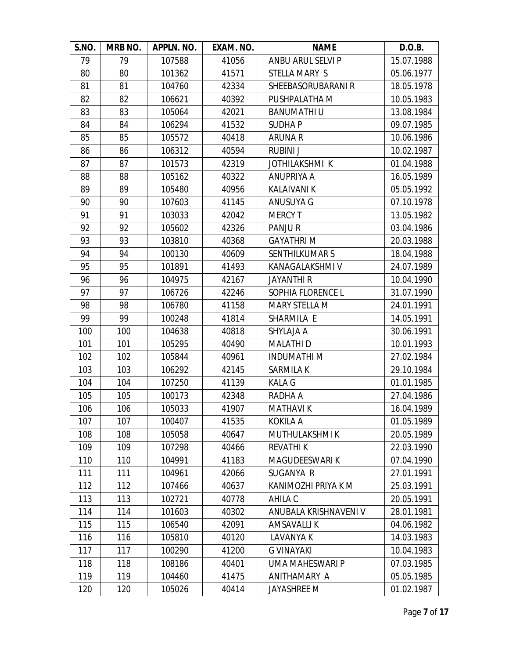| S.NO. | MRB NO. | APPLN. NO. | EXAM. NO. | <b>NAME</b>           | D.O.B.     |
|-------|---------|------------|-----------|-----------------------|------------|
| 79    | 79      | 107588     | 41056     | ANBU ARUL SELVI P     | 15.07.1988 |
| 80    | 80      | 101362     | 41571     | STELLA MARY S         | 05.06.1977 |
| 81    | 81      | 104760     | 42334     | SHEEBASORUBARANI R    | 18.05.1978 |
| 82    | 82      | 106621     | 40392     | PUSHPALATHA M         | 10.05.1983 |
| 83    | 83      | 105064     | 42021     | <b>BANUMATHIU</b>     | 13.08.1984 |
| 84    | 84      | 106294     | 41532     | <b>SUDHAP</b>         | 09.07.1985 |
| 85    | 85      | 105572     | 40418     | <b>ARUNA R</b>        | 10.06.1986 |
| 86    | 86      | 106312     | 40594     | <b>RUBINI J</b>       | 10.02.1987 |
| 87    | 87      | 101573     | 42319     | JOTHILAKSHMI K        | 01.04.1988 |
| 88    | 88      | 105162     | 40322     | ANUPRIYA A            | 16.05.1989 |
| 89    | 89      | 105480     | 40956     | <b>KALAIVANI K</b>    | 05.05.1992 |
| 90    | 90      | 107603     | 41145     | ANUSUYA G             | 07.10.1978 |
| 91    | 91      | 103033     | 42042     | <b>MERCY T</b>        | 13.05.1982 |
| 92    | 92      | 105602     | 42326     | PANJUR                | 03.04.1986 |
| 93    | 93      | 103810     | 40368     | <b>GAYATHRIM</b>      | 20.03.1988 |
| 94    | 94      | 100130     | 40609     | <b>SENTHILKUMAR S</b> | 18.04.1988 |
| 95    | 95      | 101891     | 41493     | KANAGALAKSHMI V       | 24.07.1989 |
| 96    | 96      | 104975     | 42167     | <b>JAYANTHI R</b>     | 10.04.1990 |
| 97    | 97      | 106726     | 42246     | SOPHIA FLORENCE L     | 31.07.1990 |
| 98    | 98      | 106780     | 41158     | <b>MARY STELLA M</b>  | 24.01.1991 |
| 99    | 99      | 100248     | 41814     | SHARMILA E            | 14.05.1991 |
| 100   | 100     | 104638     | 40818     | SHYLAJA A             | 30.06.1991 |
| 101   | 101     | 105295     | 40490     | <b>MALATHID</b>       | 10.01.1993 |
| 102   | 102     | 105844     | 40961     | <b>INDUMATHI M</b>    | 27.02.1984 |
| 103   | 103     | 106292     | 42145     | SARMILA K             | 29.10.1984 |
| 104   | 104     | 107250     | 41139     | <b>KALA G</b>         | 01.01.1985 |
| 105   | 105     | 100173     | 42348     | RADHA A               | 27.04.1986 |
| 106   | 106     | 105033     | 41907     | <b>MATHAVIK</b>       | 16.04.1989 |
| 107   | 107     | 100407     | 41535     | <b>KOKILA A</b>       | 01.05.1989 |
| 108   | 108     | 105058     | 40647     | MUTHULAKSHMI K        | 20.05.1989 |
| 109   | 109     | 107298     | 40466     | <b>REVATHIK</b>       | 22.03.1990 |
| 110   | 110     | 104991     | 41183     | MAGUDEESWARI K        | 07.04.1990 |
| 111   | 111     | 104961     | 42066     | SUGANYA R             | 27.01.1991 |
| 112   | 112     | 107466     | 40637     | KANIMOZHI PRIYA K M   | 25.03.1991 |
| 113   | 113     | 102721     | 40778     | AHILA C               | 20.05.1991 |
| 114   | 114     | 101603     | 40302     | ANUBALA KRISHNAVENI V | 28.01.1981 |
| 115   | 115     | 106540     | 42091     | <b>AMSAVALLIK</b>     | 04.06.1982 |
| 116   | 116     | 105810     | 40120     | LAVANYA K             | 14.03.1983 |
| 117   | 117     | 100290     | 41200     | <b>G VINAYAKI</b>     | 10.04.1983 |
| 118   | 118     | 108186     | 40401     | UMA MAHESWARI P       | 07.03.1985 |
| 119   | 119     | 104460     | 41475     | ANITHAMARY A          | 05.05.1985 |
| 120   | 120     | 105026     | 40414     | JAYASHREE M           | 01.02.1987 |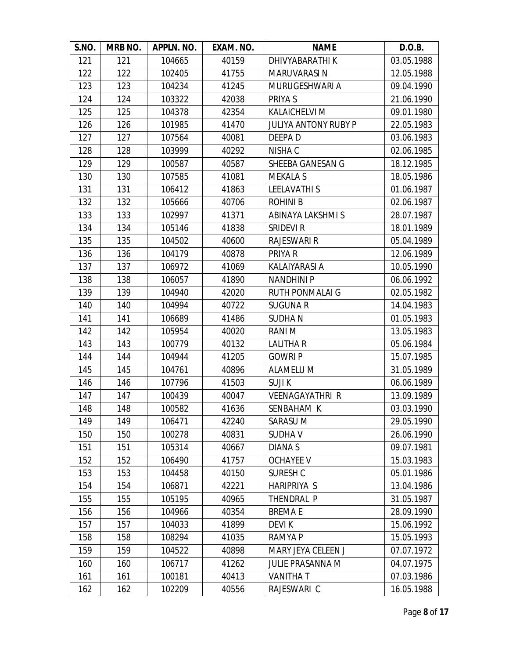| S.NO. | MRB NO. | APPLN. NO. | EXAM. NO. | <b>NAME</b>                 | D.O.B.     |
|-------|---------|------------|-----------|-----------------------------|------------|
| 121   | 121     | 104665     | 40159     | DHIVYABARATHI K             | 03.05.1988 |
| 122   | 122     | 102405     | 41755     | <b>MARUVARASIN</b>          | 12.05.1988 |
| 123   | 123     | 104234     | 41245     | MURUGESHWARI A              | 09.04.1990 |
| 124   | 124     | 103322     | 42038     | PRIYA S                     | 21.06.1990 |
| 125   | 125     | 104378     | 42354     | KALAICHELVI M               | 09.01.1980 |
| 126   | 126     | 101985     | 41470     | <b>JULIYA ANTONY RUBY P</b> | 22.05.1983 |
| 127   | 127     | 107564     | 40081     | DEEPA D                     | 03.06.1983 |
| 128   | 128     | 103999     | 40292     | NISHA C                     | 02.06.1985 |
| 129   | 129     | 100587     | 40587     | SHEEBA GANESAN G            | 18.12.1985 |
| 130   | 130     | 107585     | 41081     | <b>MEKALA S</b>             | 18.05.1986 |
| 131   | 131     | 106412     | 41863     | <b>LEELAVATHIS</b>          | 01.06.1987 |
| 132   | 132     | 105666     | 40706     | <b>ROHINIB</b>              | 02.06.1987 |
| 133   | 133     | 102997     | 41371     | ABINAYA LAKSHMI S           | 28.07.1987 |
| 134   | 134     | 105146     | 41838     | <b>SRIDEVI R</b>            | 18.01.1989 |
| 135   | 135     | 104502     | 40600     | <b>RAJESWARI R</b>          | 05.04.1989 |
| 136   | 136     | 104179     | 40878     | PRIYA R                     | 12.06.1989 |
| 137   | 137     | 106972     | 41069     | <b>KALAIYARASI A</b>        | 10.05.1990 |
| 138   | 138     | 106057     | 41890     | <b>NANDHINI P</b>           | 06.06.1992 |
| 139   | 139     | 104940     | 42020     | <b>RUTH PONMALAI G</b>      | 02.05.1982 |
| 140   | 140     | 104994     | 40722     | <b>SUGUNA R</b>             | 14.04.1983 |
| 141   | 141     | 106689     | 41486     | <b>SUDHAN</b>               | 01.05.1983 |
| 142   | 142     | 105954     | 40020     | RANI M                      | 13.05.1983 |
| 143   | 143     | 100779     | 40132     | LALITHA R                   | 05.06.1984 |
| 144   | 144     | 104944     | 41205     | <b>GOWRIP</b>               | 15.07.1985 |
| 145   | 145     | 104761     | 40896     | <b>ALAMELU M</b>            | 31.05.1989 |
| 146   | 146     | 107796     | 41503     | <b>SUJIK</b>                | 06.06.1989 |
| 147   | 147     | 100439     | 40047     | <b>VEENAGAYATHRI R</b>      | 13.09.1989 |
| 148   | 148     | 100582     | 41636     | SENBAHAM K                  | 03.03.1990 |
| 149   | 149     | 106471     | 42240     | SARASU M                    | 29.05.1990 |
| 150   | 150     | 100278     | 40831     | <b>SUDHAV</b>               | 26.06.1990 |
| 151   | 151     | 105314     | 40667     | DIANA <sub>S</sub>          | 09.07.1981 |
| 152   | 152     | 106490     | 41757     | <b>OCHAYEE V</b>            | 15.03.1983 |
| 153   | 153     | 104458     | 40150     | SURESH C                    | 05.01.1986 |
| 154   | 154     | 106871     | 42221     | <b>HARIPRIYA S</b>          | 13.04.1986 |
| 155   | 155     | 105195     | 40965     | THENDRAL P                  | 31.05.1987 |
| 156   | 156     | 104966     | 40354     | <b>BREMAE</b>               | 28.09.1990 |
| 157   | 157     | 104033     | 41899     | <b>DEVIK</b>                | 15.06.1992 |
| 158   | 158     | 108294     | 41035     | RAMYA P                     | 15.05.1993 |
| 159   | 159     | 104522     | 40898     | MARY JEYA CELEEN J          | 07.07.1972 |
| 160   | 160     | 106717     | 41262     | <b>JULIE PRASANNA M</b>     | 04.07.1975 |
| 161   | 161     | 100181     | 40413     | <b>VANITHAT</b>             | 07.03.1986 |
| 162   | 162     | 102209     | 40556     | RAJESWARI C                 | 16.05.1988 |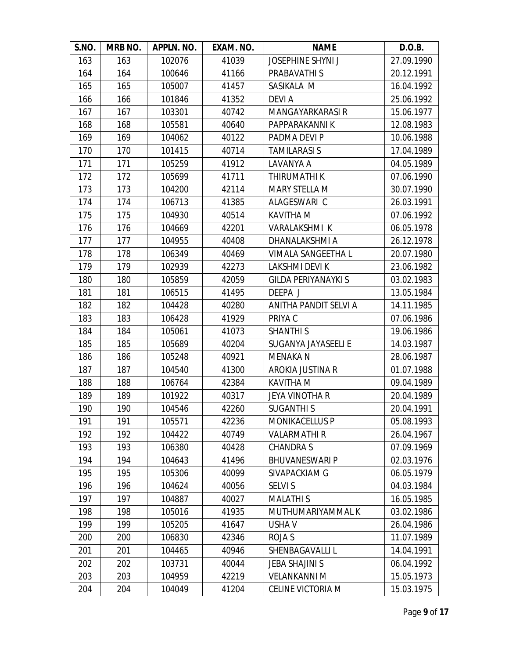| S.NO. | MRB NO. | APPLN. NO. | EXAM. NO. | <b>NAME</b>                | D.O.B.     |
|-------|---------|------------|-----------|----------------------------|------------|
| 163   | 163     | 102076     | 41039     | <b>JOSEPHINE SHYNI J</b>   | 27.09.1990 |
| 164   | 164     | 100646     | 41166     | PRABAVATHI S               | 20.12.1991 |
| 165   | 165     | 105007     | 41457     | SASIKALA M                 | 16.04.1992 |
| 166   | 166     | 101846     | 41352     | <b>DEVIA</b>               | 25.06.1992 |
| 167   | 167     | 103301     | 40742     | <b>MANGAYARKARASIR</b>     | 15.06.1977 |
| 168   | 168     | 105581     | 40640     | PAPPARAKANNI K             | 12.08.1983 |
| 169   | 169     | 104062     | 40122     | PADMA DEVI P               | 10.06.1988 |
| 170   | 170     | 101415     | 40714     | <b>TAMILARASI S</b>        | 17.04.1989 |
| 171   | 171     | 105259     | 41912     | LAVANYA A                  | 04.05.1989 |
| 172   | 172     | 105699     | 41711     | THIRUMATHI K               | 07.06.1990 |
| 173   | 173     | 104200     | 42114     | MARY STELLA M              | 30.07.1990 |
| 174   | 174     | 106713     | 41385     | ALAGESWARI C               | 26.03.1991 |
| 175   | 175     | 104930     | 40514     | KAVITHA M                  | 07.06.1992 |
| 176   | 176     | 104669     | 42201     | <b>VARALAKSHMI K</b>       | 06.05.1978 |
| 177   | 177     | 104955     | 40408     | DHANALAKSHMI A             | 26.12.1978 |
| 178   | 178     | 106349     | 40469     | VIMALA SANGEETHA L         | 20.07.1980 |
| 179   | 179     | 102939     | 42273     | LAKSHMI DEVI K             | 23.06.1982 |
| 180   | 180     | 105859     | 42059     | <b>GILDA PERIYANAYKI S</b> | 03.02.1983 |
| 181   | 181     | 106515     | 41495     | DEEPA J                    | 13.05.1984 |
| 182   | 182     | 104428     | 40280     | ANITHA PANDIT SELVI A      | 14.11.1985 |
| 183   | 183     | 106428     | 41929     | PRIYA C                    | 07.06.1986 |
| 184   | 184     | 105061     | 41073     | <b>SHANTHI S</b>           | 19.06.1986 |
| 185   | 185     | 105689     | 40204     | SUGANYA JAYASEELI E        | 14.03.1987 |
| 186   | 186     | 105248     | 40921     | <b>MENAKA N</b>            | 28.06.1987 |
| 187   | 187     | 104540     | 41300     | AROKIA JUSTINA R           | 01.07.1988 |
| 188   | 188     | 106764     | 42384     | <b>KAVITHA M</b>           | 09.04.1989 |
| 189   | 189     | 101922     | 40317     | <b>JEYA VINOTHA R</b>      | 20.04.1989 |
| 190   | 190     | 104546     | 42260     | <b>SUGANTHIS</b>           | 20.04.1991 |
| 191   | 191     | 105571     | 42236     | <b>MONIKACELLUS P</b>      | 05.08.1993 |
| 192   | 192     | 104422     | 40749     | <b>VALARMATHIR</b>         | 26.04.1967 |
| 193   | 193     | 106380     | 40428     | <b>CHANDRA S</b>           | 07.09.1969 |
| 194   | 194     | 104643     | 41496     | <b>BHUVANESWARI P</b>      | 02.03.1976 |
| 195   | 195     | 105306     | 40099     | SIVAPACKIAM G              | 06.05.1979 |
| 196   | 196     | 104624     | 40056     | <b>SELVI S</b>             | 04.03.1984 |
| 197   | 197     | 104887     | 40027     | <b>MALATHIS</b>            | 16.05.1985 |
| 198   | 198     | 105016     | 41935     | MUTHUMARIYAMMAL K          | 03.02.1986 |
| 199   | 199     | 105205     | 41647     | <b>USHAV</b>               | 26.04.1986 |
| 200   | 200     | 106830     | 42346     | ROJA S                     | 11.07.1989 |
| 201   | 201     | 104465     | 40946     | SHENBAGAVALLI L            | 14.04.1991 |
| 202   | 202     | 103731     | 40044     | <b>JEBA SHAJINI S</b>      | 06.04.1992 |
| 203   | 203     | 104959     | 42219     | <b>VELANKANNI M</b>        | 15.05.1973 |
| 204   | 204     | 104049     | 41204     | <b>CELINE VICTORIA M</b>   | 15.03.1975 |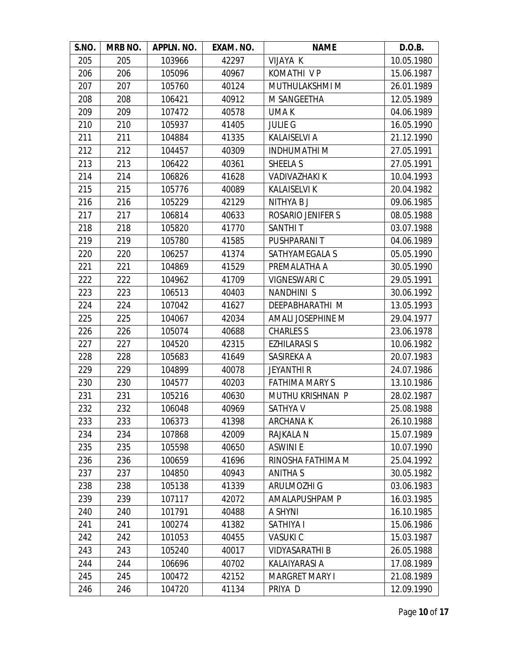| S.NO. | MRB NO. | APPLN. NO. | EXAM. NO. | <b>NAME</b>              | D.O.B.     |
|-------|---------|------------|-----------|--------------------------|------------|
| 205   | 205     | 103966     | 42297     | VIJAYA K                 | 10.05.1980 |
| 206   | 206     | 105096     | 40967     | <b>KOMATHI VP</b>        | 15.06.1987 |
| 207   | 207     | 105760     | 40124     | MUTHULAKSHMI M           | 26.01.1989 |
| 208   | 208     | 106421     | 40912     | <b>M SANGEETHA</b>       | 12.05.1989 |
| 209   | 209     | 107472     | 40578     | UMA K                    | 04.06.1989 |
| 210   | 210     | 105937     | 41405     | <b>JULIE G</b>           | 16.05.1990 |
| 211   | 211     | 104884     | 41335     | <b>KALAISELVI A</b>      | 21.12.1990 |
| 212   | 212     | 104457     | 40309     | <b>INDHUMATHIM</b>       | 27.05.1991 |
| 213   | 213     | 106422     | 40361     | SHEELA S                 | 27.05.1991 |
| 214   | 214     | 106826     | 41628     | <b>VADIVAZHAKI K</b>     | 10.04.1993 |
| 215   | 215     | 105776     | 40089     | <b>KALAISELVI K</b>      | 20.04.1982 |
| 216   | 216     | 105229     | 42129     | NITHYA B J               | 09.06.1985 |
| 217   | 217     | 106814     | 40633     | <b>ROSARIO JENIFER S</b> | 08.05.1988 |
| 218   | 218     | 105820     | 41770     | <b>SANTHIT</b>           | 03.07.1988 |
| 219   | 219     | 105780     | 41585     | PUSHPARANI T             | 04.06.1989 |
| 220   | 220     | 106257     | 41374     | SATHYAMEGALA S           | 05.05.1990 |
| 221   | 221     | 104869     | 41529     | PREMALATHA A             | 30.05.1990 |
| 222   | 222     | 104962     | 41709     | VIGNESWARI C             | 29.05.1991 |
| 223   | 223     | 106513     | 40403     | <b>NANDHINI S</b>        | 30.06.1992 |
| 224   | 224     | 107042     | 41627     | DEEPABHARATHI M          | 13.05.1993 |
| 225   | 225     | 104067     | 42034     | AMALI JOSEPHINE M        | 29.04.1977 |
| 226   | 226     | 105074     | 40688     | <b>CHARLES S</b>         | 23.06.1978 |
| 227   | 227     | 104520     | 42315     | <b>EZHILARASI S</b>      | 10.06.1982 |
| 228   | 228     | 105683     | 41649     | SASIREKA A               | 20.07.1983 |
| 229   | 229     | 104899     | 40078     | <b>JEYANTHI R</b>        | 24.07.1986 |
| 230   | 230     | 104577     | 40203     | <b>FATHIMA MARY S</b>    | 13.10.1986 |
| 231   | 231     | 105216     | 40630     | MUTHU KRISHNAN P         | 28.02.1987 |
| 232   | 232     | 106048     | 40969     | <b>SATHYA V</b>          | 25.08.1988 |
| 233   | 233     | 106373     | 41398     | <b>ARCHANAK</b>          | 26.10.1988 |
| 234   | 234     | 107868     | 42009     | <b>RAJKALA N</b>         | 15.07.1989 |
| 235   | 235     | 105598     | 40650     | <b>ASWINIE</b>           | 10.07.1990 |
| 236   | 236     | 100659     | 41696     | RINOSHA FATHIMA M        | 25.04.1992 |
| 237   | 237     | 104850     | 40943     | ANITHA S                 | 30.05.1982 |
| 238   | 238     | 105138     | 41339     | ARULMOZHI G              | 03.06.1983 |
| 239   | 239     | 107117     | 42072     | AMALAPUSHPAM P           | 16.03.1985 |
| 240   | 240     | 101791     | 40488     | A SHYNI                  | 16.10.1985 |
| 241   | 241     | 100274     | 41382     | <b>SATHIYA I</b>         | 15.06.1986 |
| 242   | 242     | 101053     | 40455     | <b>VASUKI C</b>          | 15.03.1987 |
| 243   | 243     | 105240     | 40017     | <b>VIDYASARATHI B</b>    | 26.05.1988 |
| 244   | 244     | 106696     | 40702     | KALAIYARASI A            | 17.08.1989 |
| 245   | 245     | 100472     | 42152     | <b>MARGRET MARY I</b>    | 21.08.1989 |
| 246   | 246     | 104720     | 41134     | PRIYA D                  | 12.09.1990 |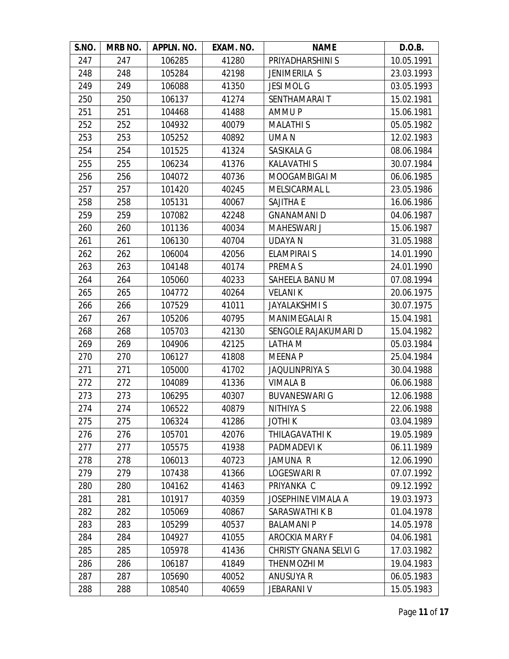| S.NO. | MRB NO. | APPLN. NO. | EXAM. NO. | <b>NAME</b>                  | D.O.B.     |
|-------|---------|------------|-----------|------------------------------|------------|
| 247   | 247     | 106285     | 41280     | PRIYADHARSHINI S             | 10.05.1991 |
| 248   | 248     | 105284     | 42198     | JENIMERILA S                 | 23.03.1993 |
| 249   | 249     | 106088     | 41350     | <b>JESI MOL G</b>            | 03.05.1993 |
| 250   | 250     | 106137     | 41274     | SENTHAMARAI T                | 15.02.1981 |
| 251   | 251     | 104468     | 41488     | <b>AMMUP</b>                 | 15.06.1981 |
| 252   | 252     | 104932     | 40079     | <b>MALATHIS</b>              | 05.05.1982 |
| 253   | 253     | 105252     | 40892     | UMA N                        | 12.02.1983 |
| 254   | 254     | 101525     | 41324     | SASIKALA G                   | 08.06.1984 |
| 255   | 255     | 106234     | 41376     | <b>KALAVATHIS</b>            | 30.07.1984 |
| 256   | 256     | 104072     | 40736     | MOOGAMBIGAI M                | 06.06.1985 |
| 257   | 257     | 101420     | 40245     | MELSICARMAL L                | 23.05.1986 |
| 258   | 258     | 105131     | 40067     | <b>SAJITHA E</b>             | 16.06.1986 |
| 259   | 259     | 107082     | 42248     | <b>GNANAMANI D</b>           | 04.06.1987 |
| 260   | 260     | 101136     | 40034     | <b>MAHESWARI J</b>           | 15.06.1987 |
| 261   | 261     | 106130     | 40704     | <b>UDAYA N</b>               | 31.05.1988 |
| 262   | 262     | 106004     | 42056     | <b>ELAMPIRAI S</b>           | 14.01.1990 |
| 263   | 263     | 104148     | 40174     | PREMA S                      | 24.01.1990 |
| 264   | 264     | 105060     | 40233     | SAHEELA BANU M               | 07.08.1994 |
| 265   | 265     | 104772     | 40264     | <b>VELANIK</b>               | 20.06.1975 |
| 266   | 266     | 107529     | 41011     | <b>JAYALAKSHMIS</b>          | 30.07.1975 |
| 267   | 267     | 105206     | 40795     | <b>MANIMEGALAI R</b>         | 15.04.1981 |
| 268   | 268     | 105703     | 42130     | SENGOLE RAJAKUMARI D         | 15.04.1982 |
| 269   | 269     | 104906     | 42125     | LATHA M                      | 05.03.1984 |
| 270   | 270     | 106127     | 41808     | <b>MEENAP</b>                | 25.04.1984 |
| 271   | 271     | 105000     | 41702     | <b>JAQULINPRIYA S</b>        | 30.04.1988 |
| 272   | 272     | 104089     | 41336     | <b>VIMALA B</b>              | 06.06.1988 |
| 273   | 273     | 106295     | 40307     | <b>BUVANESWARI G</b>         | 12.06.1988 |
| 274   | 274     | 106522     | 40879     | <b>NITHIYA S</b>             | 22.06.1988 |
| 275   | 275     | 106324     | 41286     | <b>JOTHIK</b>                | 03.04.1989 |
| 276   | 276     | 105701     | 42076     | THILAGAVATHI K               | 19.05.1989 |
| 277   | 277     | 105575     | 41938     | PADMADEVI K                  | 06.11.1989 |
| 278   | 278     | 106013     | 40723     | JAMUNA R                     | 12.06.1990 |
| 279   | 279     | 107438     | 41366     | LOGESWARI R                  | 07.07.1992 |
| 280   | 280     | 104162     | 41463     | PRIYANKA C                   | 09.12.1992 |
| 281   | 281     | 101917     | 40359     | JOSEPHINE VIMALA A           | 19.03.1973 |
| 282   | 282     | 105069     | 40867     | SARASWATHI K B               | 01.04.1978 |
| 283   | 283     | 105299     | 40537     | <b>BALAMANI P</b>            | 14.05.1978 |
| 284   | 284     | 104927     | 41055     | <b>AROCKIA MARY F</b>        | 04.06.1981 |
| 285   | 285     | 105978     | 41436     | <b>CHRISTY GNANA SELVI G</b> | 17.03.1982 |
| 286   | 286     | 106187     | 41849     | THENMOZHI M                  | 19.04.1983 |
| 287   | 287     | 105690     | 40052     | <b>ANUSUYA R</b>             | 06.05.1983 |
| 288   | 288     | 108540     | 40659     | <b>JEBARANI V</b>            | 15.05.1983 |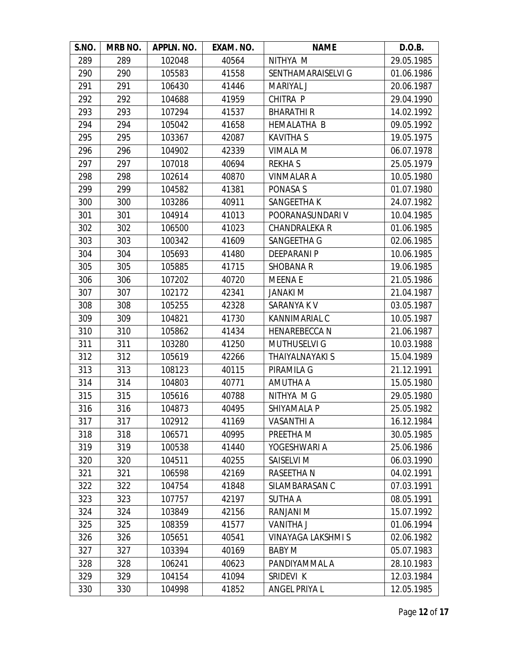| S.NO. | MRB NO. | APPLN. NO. | EXAM. NO. | <b>NAME</b>          | D.O.B.     |
|-------|---------|------------|-----------|----------------------|------------|
| 289   | 289     | 102048     | 40564     | NITHYA M             | 29.05.1985 |
| 290   | 290     | 105583     | 41558     | SENTHAMARAISELVI G   | 01.06.1986 |
| 291   | 291     | 106430     | 41446     | <b>MARIYAL J</b>     | 20.06.1987 |
| 292   | 292     | 104688     | 41959     | CHITRA P             | 29.04.1990 |
| 293   | 293     | 107294     | 41537     | <b>BHARATHIR</b>     | 14.02.1992 |
| 294   | 294     | 105042     | 41658     | <b>HEMALATHA B</b>   | 09.05.1992 |
| 295   | 295     | 103367     | 42087     | <b>KAVITHA S</b>     | 19.05.1975 |
| 296   | 296     | 104902     | 42339     | VIMALA M             | 06.07.1978 |
| 297   | 297     | 107018     | 40694     | <b>REKHAS</b>        | 25.05.1979 |
| 298   | 298     | 102614     | 40870     | <b>VINMALAR A</b>    | 10.05.1980 |
| 299   | 299     | 104582     | 41381     | PONASA S             | 01.07.1980 |
| 300   | 300     | 103286     | 40911     | SANGEETHA K          | 24.07.1982 |
| 301   | 301     | 104914     | 41013     | POORANASUNDARI V     | 10.04.1985 |
| 302   | 302     | 106500     | 41023     | <b>CHANDRALEKA R</b> | 01.06.1985 |
| 303   | 303     | 100342     | 41609     | SANGEETHA G          | 02.06.1985 |
| 304   | 304     | 105693     | 41480     | <b>DEEPARANI P</b>   | 10.06.1985 |
| 305   | 305     | 105885     | 41715     | <b>SHOBANA R</b>     | 19.06.1985 |
| 306   | 306     | 107202     | 40720     | <b>MEENAE</b>        | 21.05.1986 |
| 307   | 307     | 102172     | 42341     | <b>JANAKI M</b>      | 21.04.1987 |
| 308   | 308     | 105255     | 42328     | SARANYA K V          | 03.05.1987 |
| 309   | 309     | 104821     | 41730     | KANNIMARIAL C        | 10.05.1987 |
| 310   | 310     | 105862     | 41434     | <b>HENAREBECCA N</b> | 21.06.1987 |
| 311   | 311     | 103280     | 41250     | <b>MUTHUSELVI G</b>  | 10.03.1988 |
| 312   | 312     | 105619     | 42266     | THAIYALNAYAKI S      | 15.04.1989 |
| 313   | 313     | 108123     | 40115     | PIRAMILA G           | 21.12.1991 |
| 314   | 314     | 104803     | 40771     | AMUTHA A             | 15.05.1980 |
| 315   | 315     | 105616     | 40788     | NITHYA M G           | 29.05.1980 |
| 316   | 316     | 104873     | 40495     | SHIYAMALA P          | 25.05.1982 |
| 317   | 317     | 102912     | 41169     | <b>VASANTHI A</b>    | 16.12.1984 |
| 318   | 318     | 106571     | 40995     | PREETHA M            | 30.05.1985 |
| 319   | 319     | 100538     | 41440     | YOGESHWARI A         | 25.06.1986 |
| 320   | 320     | 104511     | 40255     | SAISELVI M           | 06.03.1990 |
| 321   | 321     | 106598     | 42169     | RASEETHA N           | 04.02.1991 |
| 322   | 322     | 104754     | 41848     | SILAMBARASAN C       | 07.03.1991 |
| 323   | 323     | 107757     | 42197     | <b>SUTHA A</b>       | 08.05.1991 |
| 324   | 324     | 103849     | 42156     | RANJANI M            | 15.07.1992 |
| 325   | 325     | 108359     | 41577     | <b>VANITHA J</b>     | 01.06.1994 |
| 326   | 326     | 105651     | 40541     | VINAYAGA LAKSHMI S   | 02.06.1982 |
| 327   | 327     | 103394     | 40169     | <b>BABY M</b>        | 05.07.1983 |
| 328   | 328     | 106241     | 40623     | PANDIYAMMAL A        | 28.10.1983 |
| 329   | 329     | 104154     | 41094     | SRIDEVI K            | 12.03.1984 |
| 330   | 330     | 104998     | 41852     | ANGEL PRIYA L        | 12.05.1985 |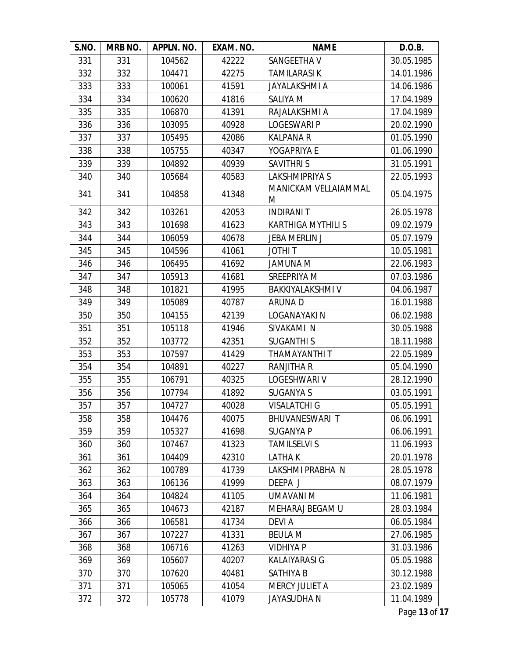| S.NO. | MRB NO. | APPLN. NO. | EXAM. NO. | <b>NAME</b>               | D.O.B.     |
|-------|---------|------------|-----------|---------------------------|------------|
| 331   | 331     | 104562     | 42222     | SANGEETHA V               | 30.05.1985 |
| 332   | 332     | 104471     | 42275     | <b>TAMILARASI K</b>       | 14.01.1986 |
| 333   | 333     | 100061     | 41591     | <b>JAYALAKSHMI A</b>      | 14.06.1986 |
| 334   | 334     | 100620     | 41816     | SALIYA M                  | 17.04.1989 |
| 335   | 335     | 106870     | 41391     | RAJALAKSHMI A             | 17.04.1989 |
| 336   | 336     | 103095     | 40928     | <b>LOGESWARI P</b>        | 20.02.1990 |
| 337   | 337     | 105495     | 42086     | <b>KALPANA R</b>          | 01.05.1990 |
| 338   | 338     | 105755     | 40347     | YOGAPRIYA E               | 01.06.1990 |
| 339   | 339     | 104892     | 40939     | <b>SAVITHRIS</b>          | 31.05.1991 |
| 340   | 340     | 105684     | 40583     | LAKSHMIPRIYA S            | 22.05.1993 |
| 341   | 341     | 104858     | 41348     | MANICKAM VELLAIAMMAL<br>M | 05.04.1975 |
| 342   | 342     | 103261     | 42053     | <b>INDIRANIT</b>          | 26.05.1978 |
| 343   | 343     | 101698     | 41623     | <b>KARTHIGA MYTHILI S</b> | 09.02.1979 |
| 344   | 344     | 106059     | 40678     | JEBA MERLIN J             | 05.07.1979 |
| 345   | 345     | 104596     | 41061     | <b>JOTHIT</b>             | 10.05.1981 |
| 346   | 346     | 106495     | 41692     | JAMUNA M                  | 22.06.1983 |
| 347   | 347     | 105913     | 41681     | SREEPRIYA M               | 07.03.1986 |
| 348   | 348     | 101821     | 41995     | <b>BAKKIYALAKSHMI V</b>   | 04.06.1987 |
| 349   | 349     | 105089     | 40787     | <b>ARUNAD</b>             | 16.01.1988 |
| 350   | 350     | 104155     | 42139     | LOGANAYAKI N              | 06.02.1988 |
| 351   | 351     | 105118     | 41946     | SIVAKAMI N                | 30.05.1988 |
| 352   | 352     | 103772     | 42351     | <b>SUGANTHIS</b>          | 18.11.1988 |
| 353   | 353     | 107597     | 41429     | THAMAYANTHI T             | 22.05.1989 |
| 354   | 354     | 104891     | 40227     | <b>RANJITHA R</b>         | 05.04.1990 |
| 355   | 355     | 106791     | 40325     | LOGESHWARI V              | 28.12.1990 |
| 356   | 356     | 107794     | 41892     | <b>SUGANYA S</b>          | 03.05.1991 |
| 357   | 357     | 104727     | 40028     | <b>VISALATCHI G</b>       | 05.05.1991 |
| 358   | 358     | 104476     | 40075     | BHUVANESWARI T            | 06.06.1991 |
| 359   | 359     | 105327     | 41698     | <b>SUGANYA P</b>          | 06.06.1991 |
| 360   | 360     | 107467     | 41323     | <b>TAMILSELVI S</b>       | 11.06.1993 |
| 361   | 361     | 104409     | 42310     | <b>LATHAK</b>             | 20.01.1978 |
| 362   | 362     | 100789     | 41739     | LAKSHMI PRABHA N          | 28.05.1978 |
| 363   | 363     | 106136     | 41999     | DEEPA J                   | 08.07.1979 |
| 364   | 364     | 104824     | 41105     | UMAVANI M                 | 11.06.1981 |
| 365   | 365     | 104673     | 42187     | MEHARAJ BEGAM U           | 28.03.1984 |
| 366   | 366     | 106581     | 41734     | <b>DEVIA</b>              | 06.05.1984 |
| 367   | 367     | 107227     | 41331     | <b>BEULA M</b>            | 27.06.1985 |
| 368   | 368     | 106716     | 41263     | <b>VIDHIYA P</b>          | 31.03.1986 |
| 369   | 369     | 105607     | 40207     | KALAIYARASI G             | 05.05.1988 |
| 370   | 370     | 107620     | 40481     | <b>SATHIYA B</b>          | 30.12.1988 |
| 371   | 371     | 105065     | 41054     | MERCY JULIET A            | 23.02.1989 |
| 372   | 372     | 105778     | 41079     | <b>JAYASUDHA N</b>        | 11.04.1989 |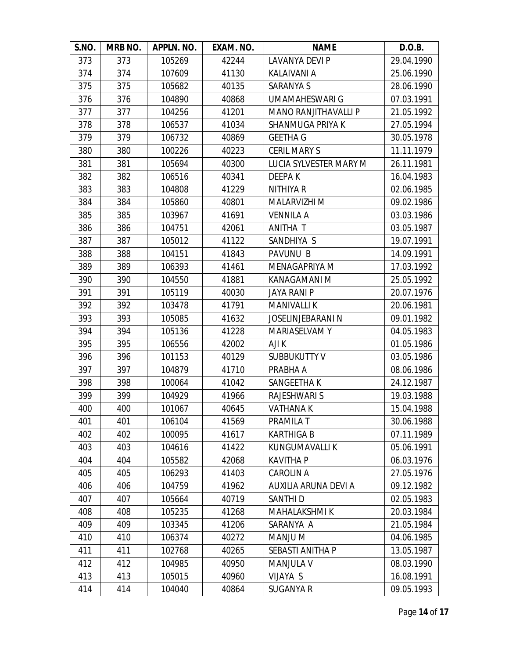| S.NO. | MRB NO. | APPLN. NO. | EXAM. NO. | <b>NAME</b>                 | D.O.B.     |
|-------|---------|------------|-----------|-----------------------------|------------|
| 373   | 373     | 105269     | 42244     | LAVANYA DEVI P              | 29.04.1990 |
| 374   | 374     | 107609     | 41130     | KALAIVANI A                 | 25.06.1990 |
| 375   | 375     | 105682     | 40135     | SARANYA S                   | 28.06.1990 |
| 376   | 376     | 104890     | 40868     | <b>UMAMAHESWARI G</b>       | 07.03.1991 |
| 377   | 377     | 104256     | 41201     | <b>MANO RANJITHAVALLI P</b> | 21.05.1992 |
| 378   | 378     | 106537     | 41034     | <b>SHANMUGA PRIYA K</b>     | 27.05.1994 |
| 379   | 379     | 106732     | 40869     | <b>GEETHA G</b>             | 30.05.1978 |
| 380   | 380     | 100226     | 40223     | <b>CERIL MARY S</b>         | 11.11.1979 |
| 381   | 381     | 105694     | 40300     | LUCIA SYLVESTER MARY M      | 26.11.1981 |
| 382   | 382     | 106516     | 40341     | DEEPA K                     | 16.04.1983 |
| 383   | 383     | 104808     | 41229     | <b>NITHIYA R</b>            | 02.06.1985 |
| 384   | 384     | 105860     | 40801     | <b>MALARVIZHI M</b>         | 09.02.1986 |
| 385   | 385     | 103967     | 41691     | <b>VENNILA A</b>            | 03.03.1986 |
| 386   | 386     | 104751     | 42061     | ANITHA T                    | 03.05.1987 |
| 387   | 387     | 105012     | 41122     | SANDHIYA S                  | 19.07.1991 |
| 388   | 388     | 104151     | 41843     | <b>PAVUNU B</b>             | 14.09.1991 |
| 389   | 389     | 106393     | 41461     | MENAGAPRIYA M               | 17.03.1992 |
| 390   | 390     | 104550     | 41881     | KANAGAMANI M                | 25.05.1992 |
| 391   | 391     | 105119     | 40030     | <b>JAYA RANI P</b>          | 20.07.1976 |
| 392   | 392     | 103478     | 41791     | <b>MANIVALLIK</b>           | 20.06.1981 |
| 393   | 393     | 105085     | 41632     | JOSELINJEBARANI N           | 09.01.1982 |
| 394   | 394     | 105136     | 41228     | <b>MARIASELVAMY</b>         | 04.05.1983 |
| 395   | 395     | 106556     | 42002     | AJI K                       | 01.05.1986 |
| 396   | 396     | 101153     | 40129     | <b>SUBBUKUTTY V</b>         | 03.05.1986 |
| 397   | 397     | 104879     | 41710     | PRABHA A                    | 08.06.1986 |
| 398   | 398     | 100064     | 41042     | SANGEETHA K                 | 24.12.1987 |
| 399   | 399     | 104929     | 41966     | <b>RAJESHWARI S</b>         | 19.03.1988 |
| 400   | 400     | 101067     | 40645     | <b>VATHANAK</b>             | 15.04.1988 |
| 401   | 401     | 106104     | 41569     | PRAMILA T                   | 30.06.1988 |
| 402   | 402     | 100095     | 41617     | <b>KARTHIGA B</b>           | 07.11.1989 |
| 403   | 403     | 104616     | 41422     | KUNGUMAVALLI K              | 05.06.1991 |
| 404   | 404     | 105582     | 42068     | KAVITHA P                   | 06.03.1976 |
| 405   | 405     | 106293     | 41403     | <b>CAROLIN A</b>            | 27.05.1976 |
| 406   | 406     | 104759     | 41962     | AUXILIA ARUNA DEVI A        | 09.12.1982 |
| 407   | 407     | 105664     | 40719     | SANTHI D                    | 02.05.1983 |
| 408   | 408     | 105235     | 41268     | <b>MAHALAKSHMI K</b>        | 20.03.1984 |
| 409   | 409     | 103345     | 41206     | SARANYA A                   | 21.05.1984 |
| 410   | 410     | 106374     | 40272     | MANJU M                     | 04.06.1985 |
| 411   | 411     | 102768     | 40265     | SEBASTI ANITHA P            | 13.05.1987 |
| 412   | 412     | 104985     | 40950     | <b>MANJULA V</b>            | 08.03.1990 |
| 413   | 413     | 105015     | 40960     | <b>VIJAYA S</b>             | 16.08.1991 |
| 414   | 414     | 104040     | 40864     | SUGANYA R                   | 09.05.1993 |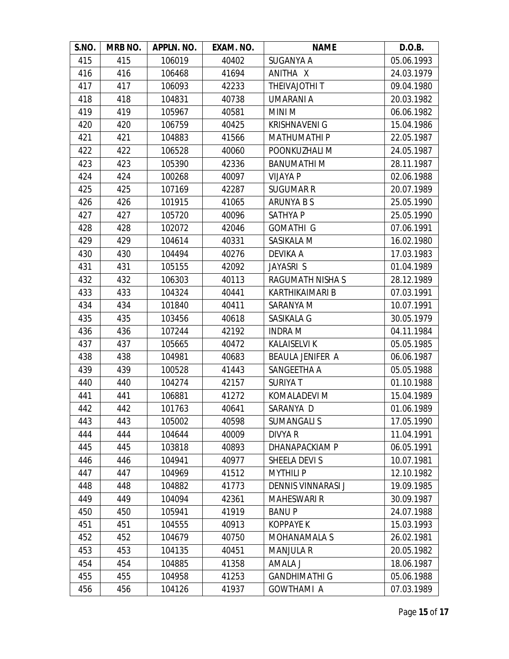| S.NO. | <b>MRB NO.</b> | APPLN. NO. | EXAM. NO. | <b>NAME</b>               | D.O.B.     |
|-------|----------------|------------|-----------|---------------------------|------------|
| 415   | 415            | 106019     | 40402     | SUGANYA A                 | 05.06.1993 |
| 416   | 416            | 106468     | 41694     | ANITHA X                  | 24.03.1979 |
| 417   | 417            | 106093     | 42233     | THEIVAJOTHI T             | 09.04.1980 |
| 418   | 418            | 104831     | 40738     | UMARANI A                 | 20.03.1982 |
| 419   | 419            | 105967     | 40581     | <b>MINI M</b>             | 06.06.1982 |
| 420   | 420            | 106759     | 40425     | <b>KRISHNAVENI G</b>      | 15.04.1986 |
| 421   | 421            | 104883     | 41566     | <b>MATHUMATHIP</b>        | 22.05.1987 |
| 422   | 422            | 106528     | 40060     | POONKUZHALI M             | 24.05.1987 |
| 423   | 423            | 105390     | 42336     | <b>BANUMATHIM</b>         | 28.11.1987 |
| 424   | 424            | 100268     | 40097     | <b>VIJAYA P</b>           | 02.06.1988 |
| 425   | 425            | 107169     | 42287     | <b>SUGUMAR R</b>          | 20.07.1989 |
| 426   | 426            | 101915     | 41065     | ARUNYA B S                | 25.05.1990 |
| 427   | 427            | 105720     | 40096     | <b>SATHYAP</b>            | 25.05.1990 |
| 428   | 428            | 102072     | 42046     | <b>GOMATHI G</b>          | 07.06.1991 |
| 429   | 429            | 104614     | 40331     | SASIKALA M                | 16.02.1980 |
| 430   | 430            | 104494     | 40276     | DEVIKA A                  | 17.03.1983 |
| 431   | 431            | 105155     | 42092     | JAYASRI S                 | 01.04.1989 |
| 432   | 432            | 106303     | 40113     | RAGUMATH NISHA S          | 28.12.1989 |
| 433   | 433            | 104324     | 40441     | <b>KARTHIKAIMARI B</b>    | 07.03.1991 |
| 434   | 434            | 101840     | 40411     | SARANYA M                 | 10.07.1991 |
| 435   | 435            | 103456     | 40618     | SASIKALA G                | 30.05.1979 |
| 436   | 436            | 107244     | 42192     | <b>INDRA M</b>            | 04.11.1984 |
| 437   | 437            | 105665     | 40472     | <b>KALAISELVI K</b>       | 05.05.1985 |
| 438   | 438            | 104981     | 40683     | <b>BEAULA JENIFER A</b>   | 06.06.1987 |
| 439   | 439            | 100528     | 41443     | SANGEETHA A               | 05.05.1988 |
| 440   | 440            | 104274     | 42157     | <b>SURIYAT</b>            | 01.10.1988 |
| 441   | 441            | 106881     | 41272     | KOMALADEVI M              | 15.04.1989 |
| 442   | 442            | 101763     | 40641     | SARANYA D                 | 01.06.1989 |
| 443   | 443            | 105002     | 40598     | <b>SUMANGALIS</b>         | 17.05.1990 |
| 444   | 444            | 104644     | 40009     | DIVYA R                   | 11.04.1991 |
| 445   | 445            | 103818     | 40893     | DHANAPACKIAM P            | 06.05.1991 |
| 446   | 446            | 104941     | 40977     | SHEELA DEVI S             | 10.07.1981 |
| 447   | 447            | 104969     | 41512     | <b>MYTHILI P</b>          | 12.10.1982 |
| 448   | 448            | 104882     | 41773     | <b>DENNIS VINNARASI J</b> | 19.09.1985 |
| 449   | 449            | 104094     | 42361     | <b>MAHESWARI R</b>        | 30.09.1987 |
| 450   | 450            | 105941     | 41919     | <b>BANUP</b>              | 24.07.1988 |
| 451   | 451            | 104555     | 40913     | <b>KOPPAYE K</b>          | 15.03.1993 |
| 452   | 452            | 104679     | 40750     | MOHANAMALA S              | 26.02.1981 |
| 453   | 453            | 104135     | 40451     | <b>MANJULA R</b>          | 20.05.1982 |
| 454   | 454            | 104885     | 41358     | AMALA J                   | 18.06.1987 |
| 455   | 455            | 104958     | 41253     | <b>GANDHIMATHI G</b>      | 05.06.1988 |
| 456   | 456            | 104126     | 41937     | <b>GOWTHAMI A</b>         | 07.03.1989 |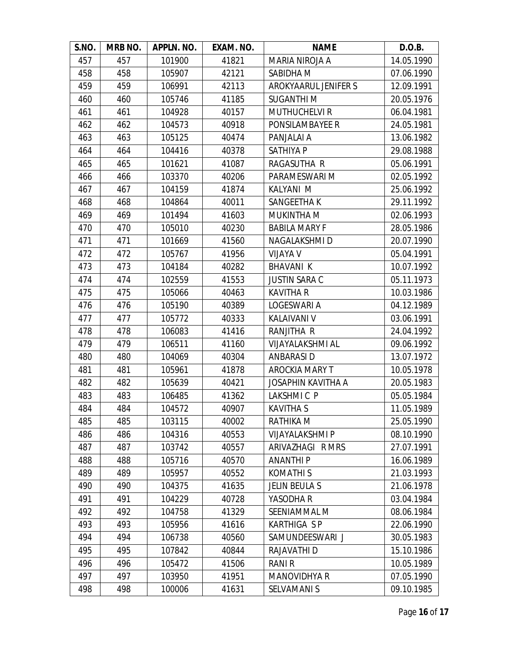| S.NO. | MRB NO. | APPLN. NO. | EXAM. NO. | <b>NAME</b>               | D.O.B.     |
|-------|---------|------------|-----------|---------------------------|------------|
| 457   | 457     | 101900     | 41821     | MARIA NIROJA A            | 14.05.1990 |
| 458   | 458     | 105907     | 42121     | SABIDHA M                 | 07.06.1990 |
| 459   | 459     | 106991     | 42113     | AROKYAARUL JENIFER S      | 12.09.1991 |
| 460   | 460     | 105746     | 41185     | <b>SUGANTHIM</b>          | 20.05.1976 |
| 461   | 461     | 104928     | 40157     | <b>MUTHUCHELVI R</b>      | 06.04.1981 |
| 462   | 462     | 104573     | 40918     | PONSILAMBAYEE R           | 24.05.1981 |
| 463   | 463     | 105125     | 40474     | PANJALAI A                | 13.06.1982 |
| 464   | 464     | 104416     | 40378     | SATHIYA P                 | 29.08.1988 |
| 465   | 465     | 101621     | 41087     | RAGASUTHA R               | 05.06.1991 |
| 466   | 466     | 103370     | 40206     | PARAMESWARI M             | 02.05.1992 |
| 467   | 467     | 104159     | 41874     | KALYANI M                 | 25.06.1992 |
| 468   | 468     | 104864     | 40011     | SANGEETHA K               | 29.11.1992 |
| 469   | 469     | 101494     | 41603     | MUKINTHA M                | 02.06.1993 |
| 470   | 470     | 105010     | 40230     | <b>BABILA MARY F</b>      | 28.05.1986 |
| 471   | 471     | 101669     | 41560     | <b>NAGALAKSHMID</b>       | 20.07.1990 |
| 472   | 472     | 105767     | 41956     | <b>VIJAYA V</b>           | 05.04.1991 |
| 473   | 473     | 104184     | 40282     | <b>BHAVANI K</b>          | 10.07.1992 |
| 474   | 474     | 102559     | 41553     | <b>JUSTIN SARA C</b>      | 05.11.1973 |
| 475   | 475     | 105066     | 40463     | <b>KAVITHA R</b>          | 10.03.1986 |
| 476   | 476     | 105190     | 40389     | LOGESWARI A               | 04.12.1989 |
| 477   | 477     | 105772     | 40333     | <b>KALAIVANI V</b>        | 03.06.1991 |
| 478   | 478     | 106083     | 41416     | RANJITHA R                | 24.04.1992 |
| 479   | 479     | 106511     | 41160     | <b>VIJAYALAKSHMI AL</b>   | 09.06.1992 |
| 480   | 480     | 104069     | 40304     | ANBARASI D                | 13.07.1972 |
| 481   | 481     | 105961     | 41878     | <b>AROCKIA MARY T</b>     | 10.05.1978 |
| 482   | 482     | 105639     | 40421     | <b>JOSAPHIN KAVITHA A</b> | 20.05.1983 |
| 483   | 483     | 106485     | 41362     | LAKSHMIC P                | 05.05.1984 |
| 484   | 484     | 104572     | 40907     | <b>KAVITHA S</b>          | 11.05.1989 |
| 485   | 485     | 103115     | 40002     | RATHIKA M                 | 25.05.1990 |
| 486   | 486     | 104316     | 40553     | <b>VIJAYALAKSHMI P</b>    | 08.10.1990 |
| 487   | 487     | 103742     | 40557     | ARIVAZHAGI R MRS          | 27.07.1991 |
| 488   | 488     | 105716     | 40570     | <b>ANANTHIP</b>           | 16.06.1989 |
| 489   | 489     | 105957     | 40552     | KOMATHI S                 | 21.03.1993 |
| 490   | 490     | 104375     | 41635     | <b>JELIN BEULA S</b>      | 21.06.1978 |
| 491   | 491     | 104229     | 40728     | YASODHA R                 | 03.04.1984 |
| 492   | 492     | 104758     | 41329     | SEENIAMMAL M              | 08.06.1984 |
| 493   | 493     | 105956     | 41616     | <b>KARTHIGA SP</b>        | 22.06.1990 |
| 494   | 494     | 106738     | 40560     | SAMUNDEESWARI J           | 30.05.1983 |
| 495   | 495     | 107842     | 40844     | RAJAVATHI D               | 15.10.1986 |
| 496   | 496     | 105472     | 41506     | <b>RANI R</b>             | 10.05.1989 |
| 497   | 497     | 103950     | 41951     | <b>MANOVIDHYA R</b>       | 07.05.1990 |
| 498   | 498     | 100006     | 41631     | <b>SELVAMANI S</b>        | 09.10.1985 |